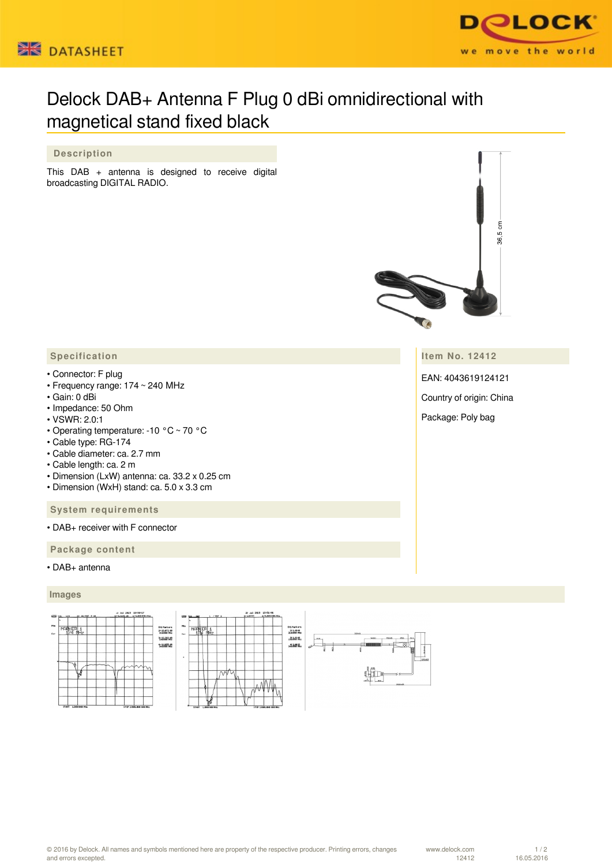



# Delock DAB+ Antenna F Plug 0 dBi omnidirectional with magnetical stand fixed black

## **Description**

This DAB + antenna is designed to receive digital broadcasting DIGITAL RADIO.



**Item No. 12412**

EAN: 4043619124121

Country of origin: China

Package: Poly bag

### **Specification**

- Connector: F plug
- Frequency range: 174 ~ 240 MHz
- Gain: 0 dBi
- Impedance: 50 Ohm
- VSWR: 2.0:1
- Operating temperature: -10 °C ~ 70 °C
- Cable type: RG-174
- Cable diameter: ca. 2.7 mm
- Cable length: ca. 2 m
- Dimension (LxW) antenna: ca. 33.2 x 0.25 cm
- Dimension (WxH) stand: ca. 5.0 x 3.3 cm

 **System requirements**

• DAB+ receiver with F connector

 **Package content**

#### • DAB+ antenna

#### **Images**